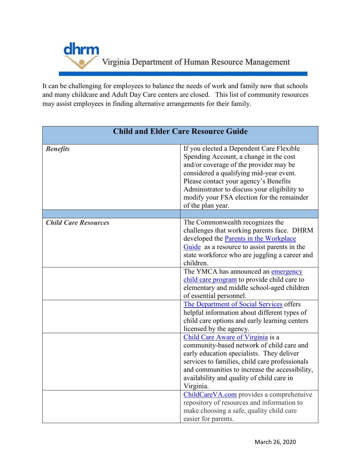

It can be challenging for employees to balance the needs of work and family now that schools and many childcare and Adult Day Care centers are closed. This list of community resources may assist employees in finding alternative arrangements for their family.

| <b>Child and Elder Care Resource Guide</b> |                                                                                                                                                                                                                                                                                                                                     |
|--------------------------------------------|-------------------------------------------------------------------------------------------------------------------------------------------------------------------------------------------------------------------------------------------------------------------------------------------------------------------------------------|
| <b>Benefits</b>                            | If you elected a Dependent Care Flexible<br>Spending Account, a change in the cost<br>and/or coverage of the provider may be<br>considered a qualifying mid-year event.<br>Please contact your agency's Benefits<br>Administrator to discuss your eligibility to<br>modify your FSA election for the remainder<br>of the plan year. |
|                                            |                                                                                                                                                                                                                                                                                                                                     |
| <b>Child Care Resources</b>                | The Commonwealth recognizes the<br>challenges that working parents face. DHRM<br>developed the Parents in the Workplace<br>Guide as a resource to assist parents in the<br>state workforce who are juggling a career and<br>children.                                                                                               |
|                                            | The YMCA has announced an emergency<br>child care program to provide child care to<br>elementary and middle school-aged children<br>of essential personnel.                                                                                                                                                                         |
|                                            | The Department of Social Services offers<br>helpful information about different types of<br>child care options and early learning centers<br>licensed by the agency.                                                                                                                                                                |
|                                            | Child Care Aware of Virginia is a<br>community-based network of child care and<br>early education specialists. They deliver<br>services to families, child care professionals<br>and communities to increase the accessibility,<br>availability and quality of child care in<br>Virginia.                                           |
|                                            | ChildCareVA.com provides a comprehensive<br>repository of resources and information to<br>make choosing a safe, quality child care<br>easier for parents.                                                                                                                                                                           |